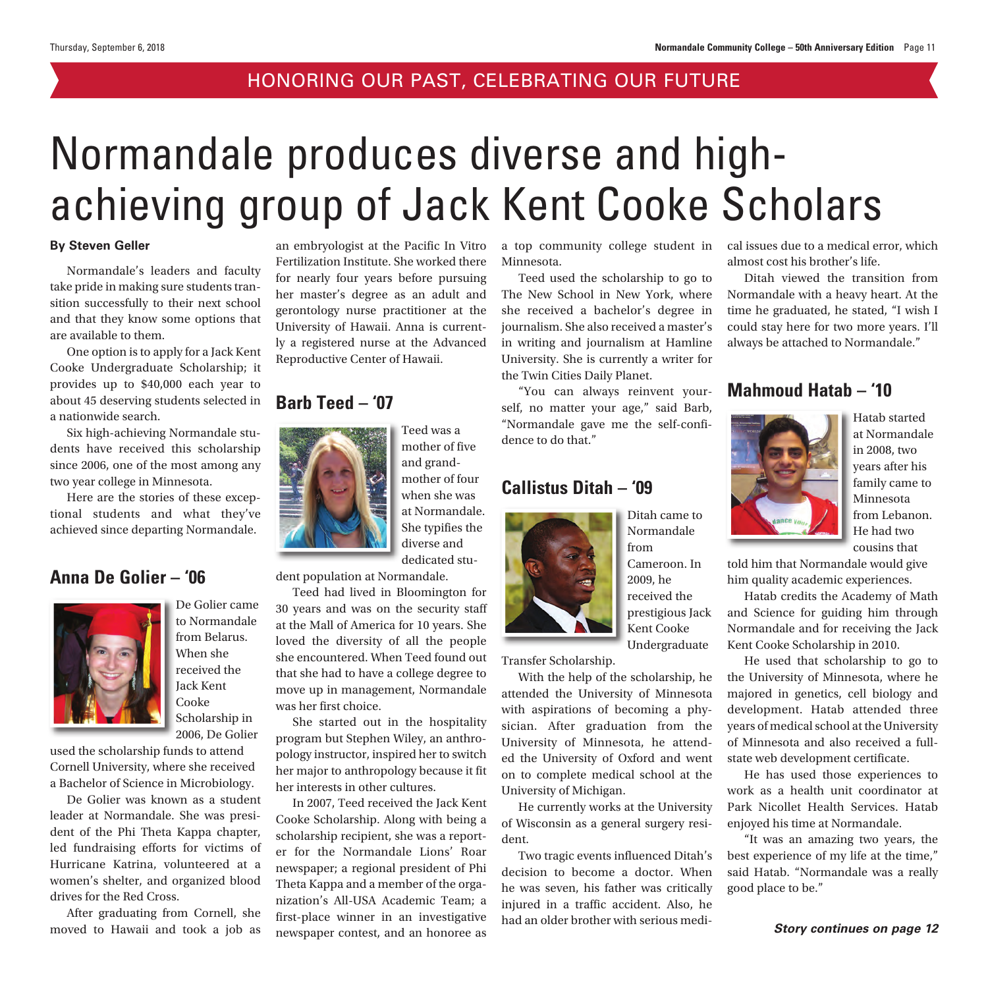#### HONORING OUR PAST, CELEBRATING OUR FUTURE

# Normandale produces diverse and highachieving group of Jack Kent Cooke Scholars

#### **By Steven Geller**

Normandale's leaders and faculty take pride in making sure students transition successfully to their next school and that they know some options that are available to them.

One option is to apply for a Jack Kent Cooke Undergraduate Scholarship; it provides up to \$40,000 each year to about 45 deserving students selected in a nationwide search.

Six high-achieving Normandale students have received this scholarship since 2006, one of the most among any two year college in Minnesota.

Here are the stories of these exceptional students and what they've achieved since departing Normandale.

#### **Anna De Golier – '06**



De Golier came to Normandale from Belarus. When she received the Jack Kent Cooke Scholarship in 2006, De Golier

used the scholarship funds to attend Cornell University, where she received a Bachelor of Science in Microbiology.

De Golier was known as a student leader at Normandale. She was president of the Phi Theta Kappa chapter, led fundraising efforts for victims of Hurricane Katrina, volunteered at a women's shelter, and organized blood drives for the Red Cross.

After graduating from Cornell, she moved to Hawaii and took a job as an embryologist at the Pacific In Vitro Fertilization Institute. She worked there for nearly four years before pursuing her master's degree as an adult and gerontology nurse practitioner at the University of Hawaii. Anna is currently a registered nurse at the Advanced Reproductive Center of Hawaii.

#### **Barb Teed – '07**



Teed was a mother of five and grandmother of four when she was at Normandale. She typifies the diverse and dedicated stu-

dent population at Normandale.

Teed had lived in Bloomington for 30 years and was on the security staff at the Mall of America for 10 years. She loved the diversity of all the people she encountered. When Teed found out that she had to have a college degree to move up in management, Normandale was her first choice.

She started out in the hospitality program but Stephen Wiley, an anthropology instructor, inspired her to switch her major to anthropology because it fit her interests in other cultures.

In 2007, Teed received the Jack Kent Cooke Scholarship. Along with being a scholarship recipient, she was a reporter for the Normandale Lions' Roar newspaper; a regional president of Phi Theta Kappa and a member of the organization's All-USA Academic Team; a first-place winner in an investigative newspaper contest, and an honoree as

a top community college student in Minnesota.

Teed used the scholarship to go to The New School in New York, where she received a bachelor's degree in journalism. She also received a master's in writing and journalism at Hamline University. She is currently a writer for the Twin Cities Daily Planet.

"You can always reinvent yourself, no matter your age," said Barb, "Normandale gave me the self-confidence to do that."

#### **Callistus Ditah – '09**



from Cameroon. In 2009, he received the prestigious Jack Kent Cooke Undergraduate

Ditah came to Normandale

Transfer Scholarship.

With the help of the scholarship, he attended the University of Minnesota with aspirations of becoming a physician. After graduation from the University of Minnesota, he attended the University of Oxford and went on to complete medical school at the University of Michigan.

He currently works at the University of Wisconsin as a general surgery resident.

Two tragic events influenced Ditah's decision to become a doctor. When he was seven, his father was critically injured in a traffic accident. Also, he had an older brother with serious medical issues due to a medical error, which almost cost his brother's life.

Ditah viewed the transition from Normandale with a heavy heart. At the time he graduated, he stated, "I wish I could stay here for two more years. I'll always be attached to Normandale."

#### **Mahmoud Hatab – '10**



Hatab started at Normandale in 2008, two years after his family came to Minnesota from Lebanon. He had two cousins that

told him that Normandale would give him quality academic experiences.

Hatab credits the Academy of Math and Science for guiding him through Normandale and for receiving the Jack Kent Cooke Scholarship in 2010.

He used that scholarship to go to the University of Minnesota, where he majored in genetics, cell biology and development. Hatab attended three years of medical school at the University of Minnesota and also received a fullstate web development certificate.

He has used those experiences to work as a health unit coordinator at Park Nicollet Health Services. Hatab enjoyed his time at Normandale.

"It was an amazing two years, the best experience of my life at the time," said Hatab. "Normandale was a really good place to be."